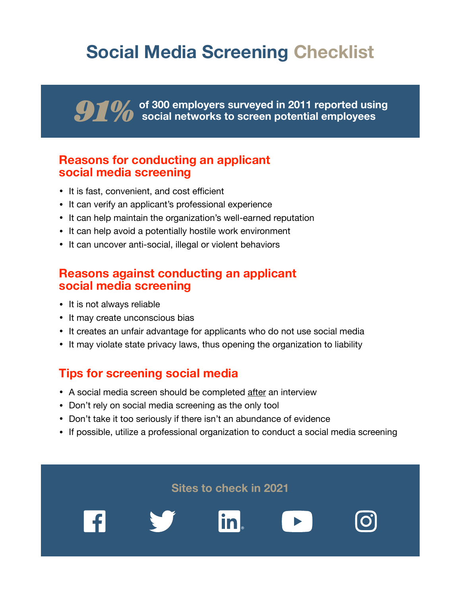# **Social Media Screening Checklist**

**of 300 employers surveyed in 2011 reported using social networks to screen potential employees** 

#### **Reasons for conducting an applicant social media screening**

- It is fast, convenient, and cost efficient
- It can verify an applicant's professional experience
- It can help maintain the organization's well-earned reputation
- It can help avoid a potentially hostile work environment
- It can uncover anti-social, illegal or violent behaviors

#### **Reasons against conducting an applicant social media screening**

- It is not always reliable
- It may create unconscious bias
- It creates an unfair advantage for applicants who do not use social media
- It may violate state privacy laws, thus opening the organization to liability

### **Tips for screening social media**

- A social media screen should be completed after an interview
- Don't rely on social media screening as the only tool
- Don't take it too seriously if there isn't an abundance of evidence
- If possible, utilize a professional organization to conduct a social media screening

**Sites to check in 2021**